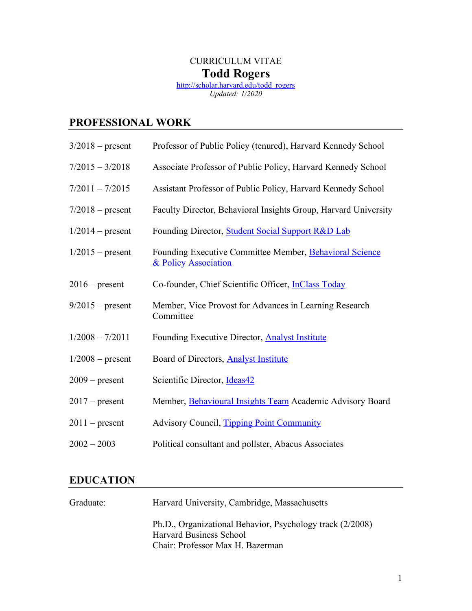## CURRICULUM VITAE **Todd Rogers**

[http://scholar.harvard.edu/todd\\_rogers](http://scholar.harvard.edu/todd_rogers) *Updated: 1/2020*

## **PROFESSIONAL WORK**

| $3/2018$ – present | Professor of Public Policy (tenured), Harvard Kennedy School                    |
|--------------------|---------------------------------------------------------------------------------|
| $7/2015 - 3/2018$  | Associate Professor of Public Policy, Harvard Kennedy School                    |
| $7/2011 - 7/2015$  | Assistant Professor of Public Policy, Harvard Kennedy School                    |
| $7/2018$ – present | Faculty Director, Behavioral Insights Group, Harvard University                 |
| $1/2014$ – present | Founding Director, Student Social Support R&D Lab                               |
| $1/2015$ – present | Founding Executive Committee Member, Behavioral Science<br>& Policy Association |
| $2016$ – present   | Co-founder, Chief Scientific Officer, InClass Today                             |
| $9/2015$ – present | Member, Vice Provost for Advances in Learning Research<br>Committee             |
| $1/2008 - 7/2011$  | Founding Executive Director, <b>Analyst Institute</b>                           |
| $1/2008$ – present | Board of Directors, <b>Analyst Institute</b>                                    |
| $2009$ – present   | Scientific Director, Ideas42                                                    |
| $2017$ – present   | Member, Behavioural Insights Team Academic Advisory Board                       |
| $2011$ – present   | <b>Advisory Council, Tipping Point Community</b>                                |
| $2002 - 2003$      | Political consultant and pollster, Abacus Associates                            |

## **EDUCATION**

| Graduate: | Harvard University, Cambridge, Massachusetts                                                                                    |
|-----------|---------------------------------------------------------------------------------------------------------------------------------|
|           | Ph.D., Organizational Behavior, Psychology track (2/2008)<br><b>Harvard Business School</b><br>Chair: Professor Max H. Bazerman |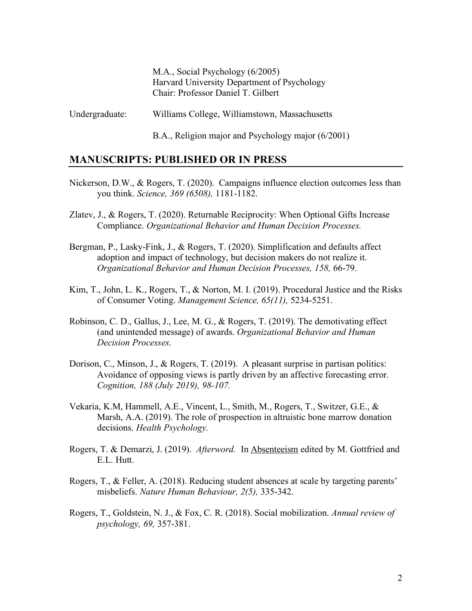M.A., Social Psychology (6/2005) Harvard University Department of Psychology Chair: Professor Daniel T. Gilbert

Undergraduate: Williams College, Williamstown, Massachusetts

B.A., Religion major and Psychology major (6/2001)

#### **MANUSCRIPTS: PUBLISHED OR IN PRESS**

- Nickerson, D.W., & Rogers, T. (2020). Campaigns influence election outcomes less than you think. *Science, 369 (6508),* 1181-1182.
- Zlatev, J., & Rogers, T. (2020). Returnable Reciprocity: When Optional Gifts Increase Compliance. *Organizational Behavior and Human Decision Processes.*
- Bergman, P., Lasky-Fink, J., & Rogers, T. (2020). Simplification and defaults affect adoption and impact of technology, but decision makers do not realize it. *Organizational Behavior and Human Decision Processes, 158,* 66-79.
- Kim, T., John, L. K., Rogers, T., & Norton, M. I. (2019). Procedural Justice and the Risks of Consumer Voting. *Management Science, 65(11),* 5234-5251.
- Robinson, C. D., Gallus, J., Lee, M. G., & Rogers, T. (2019). The demotivating effect (and unintended message) of awards. *Organizational Behavior and Human Decision Processes*.
- Dorison, C., Minson, J., & Rogers, T. (2019). A pleasant surprise in partisan politics: Avoidance of opposing views is partly driven by an affective forecasting error. *Cognition, 188 (July 2019), 98-107.*
- Vekaria, K.M, Hammell, A.E., Vincent, L., Smith, M., Rogers, T., Switzer, G.E., & Marsh, A.A. (2019). The role of prospection in altruistic bone marrow donation decisions. *Health Psychology.*
- Rogers, T. & Demarzi, J. (2019). *Afterword.* In Absenteeism edited by M. Gottfried and E.L. Hutt.
- Rogers, T., & Feller, A. (2018). Reducing student absences at scale by targeting parents' misbeliefs. *Nature Human Behaviour, 2(5),* 335-342.
- Rogers, T., Goldstein, N. J., & Fox, C. R. (2018). Social mobilization. *Annual review of psychology, 69,* 357-381.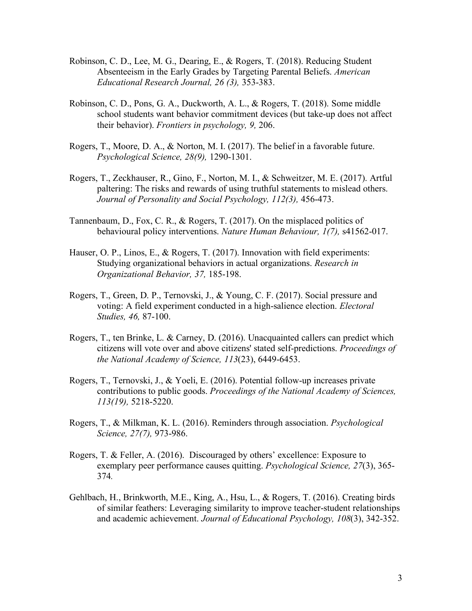- Robinson, C. D., Lee, M. G., Dearing, E., & Rogers, T. (2018). Reducing Student Absenteeism in the Early Grades by Targeting Parental Beliefs. *American Educational Research Journal, 26 (3),* 353-383.
- Robinson, C. D., Pons, G. A., Duckworth, A. L., & Rogers, T. (2018). Some middle school students want behavior commitment devices (but take-up does not affect their behavior). *Frontiers in psychology, 9,* 206.
- Rogers, T., Moore, D. A., & Norton, M. I. (2017). The belief in a favorable future. *Psychological Science, 28(9),* 1290-1301.
- Rogers, T., Zeckhauser, R., Gino, F., Norton, M. I., & Schweitzer, M. E. (2017). Artful paltering: The risks and rewards of using truthful statements to mislead others. *Journal of Personality and Social Psychology, 112(3),* 456-473.
- Tannenbaum, D., Fox, C. R., & Rogers, T. (2017). On the misplaced politics of behavioural policy interventions. *Nature Human Behaviour, 1(7),* s41562-017.
- Hauser, O. P., Linos, E., & Rogers, T. (2017). Innovation with field experiments: Studying organizational behaviors in actual organizations. *Research in Organizational Behavior, 37,* 185-198.
- Rogers, T., Green, D. P., Ternovski, J., & Young, C. F. (2017). Social pressure and voting: A field experiment conducted in a high-salience election. *Electoral Studies, 46,* 87-100.
- Rogers, T., ten Brinke, L. & Carney, D. (2016). Unacquainted callers can predict which citizens will vote over and above citizens' stated self-predictions. *Proceedings of the National Academy of Science, 113*(23), 6449-6453.
- Rogers, T., Ternovski, J., & Yoeli, E. (2016). Potential follow-up increases private contributions to public goods. *Proceedings of the National Academy of Sciences, 113(19),* 5218-5220.
- Rogers, T., & Milkman, K. L. (2016). Reminders through association. *Psychological Science, 27(7),* 973-986.
- Rogers, T. & Feller, A. (2016). Discouraged by others' excellence: Exposure to exemplary peer performance causes quitting. *Psychological Science, 27*(3), 365- 374*.*
- Gehlbach, H., Brinkworth, M.E., King, A., Hsu, L., & Rogers, T. (2016). Creating birds of similar feathers: Leveraging similarity to improve teacher-student relationships and academic achievement. *Journal of Educational Psychology, 108*(3), 342-352.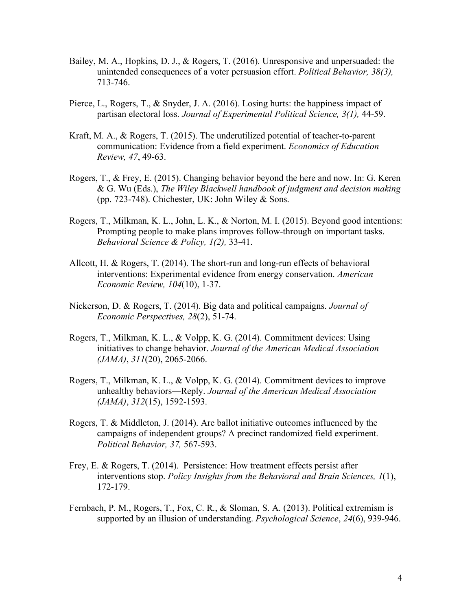- Bailey, M. A., Hopkins, D. J., & Rogers, T. (2016). Unresponsive and unpersuaded: the unintended consequences of a voter persuasion effort. *Political Behavior, 38(3),* 713-746.
- Pierce, L., Rogers, T., & Snyder, J. A. (2016). Losing hurts: the happiness impact of partisan electoral loss. *Journal of Experimental Political Science, 3(1),* 44-59.
- Kraft, M. A., & Rogers, T. (2015). The underutilized potential of teacher-to-parent communication: Evidence from a field experiment. *Economics of Education Review, 47*, 49-63.
- Rogers, T., & Frey, E. (2015). Changing behavior beyond the here and now. In: G. Keren & G. Wu (Eds.), *The Wiley Blackwell handbook of judgment and decision making* (pp. 723-748). Chichester, UK: John Wiley & Sons.
- Rogers, T., Milkman, K. L., John, L. K., & Norton, M. I. (2015). Beyond good intentions: Prompting people to make plans improves follow-through on important tasks. *Behavioral Science & Policy, 1(2),* 33-41.
- Allcott, H. & Rogers, T. (2014). The short-run and long-run effects of behavioral interventions: Experimental evidence from energy conservation. *American Economic Review, 104*(10), 1-37.
- Nickerson, D. & Rogers, T. (2014). Big data and political campaigns. *Journal of Economic Perspectives, 28*(2), 51-74.
- Rogers, T., Milkman, K. L., & Volpp, K. G. (2014). Commitment devices: Using initiatives to change behavior. *Journal of the American Medical Association (JAMA)*, *311*(20), 2065-2066.
- Rogers, T., Milkman, K. L., & Volpp, K. G. (2014). Commitment devices to improve unhealthy behaviors—Reply. *Journal of the American Medical Association (JAMA)*, *312*(15), 1592-1593.
- Rogers, T. & Middleton, J. (2014). Are ballot initiative outcomes influenced by the campaigns of independent groups? A precinct randomized field experiment. *Political Behavior, 37,* 567-593.
- Frey, E. & Rogers, T. (2014). Persistence: How treatment effects persist after interventions stop. *Policy Insights from the Behavioral and Brain Sciences, 1*(1), 172-179.
- Fernbach, P. M., Rogers, T., Fox, C. R., & Sloman, S. A. (2013). Political extremism is supported by an illusion of understanding. *Psychological Science*, *24*(6), 939-946.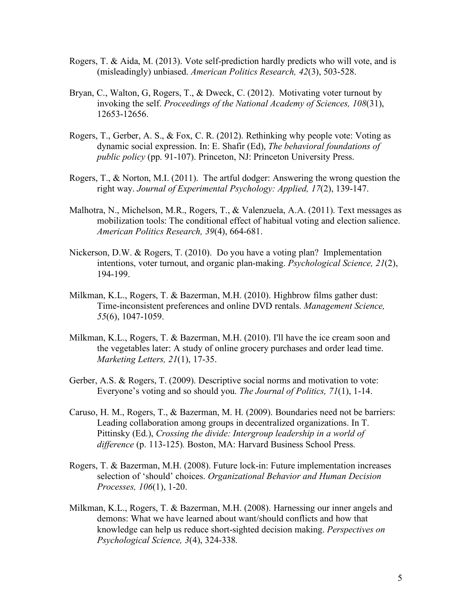- Rogers, T. & Aida, M. (2013). Vote self-prediction hardly predicts who will vote, and is (misleadingly) unbiased. *American Politics Research, 42*(3), 503-528.
- Bryan, C., Walton, G, Rogers, T., & Dweck, C. (2012). Motivating voter turnout by invoking the self. *Proceedings of the National Academy of Sciences, 108*(31), 12653-12656.
- Rogers, T., Gerber, A. S., & Fox, C. R. (2012). Rethinking why people vote: Voting as dynamic social expression. In: E. Shafir (Ed), *The behavioral foundations of public policy* (pp. 91-107). Princeton, NJ: Princeton University Press.
- Rogers, T., & Norton, M.I. (2011). The artful dodger: Answering the wrong question the right way. *Journal of Experimental Psychology: Applied, 17*(2), 139-147.
- Malhotra, N., Michelson, M.R., Rogers, T., & Valenzuela, A.A. (2011). Text messages as mobilization tools: The conditional effect of habitual voting and election salience. *American Politics Research, 39*(4), 664-681.
- Nickerson, D.W. & Rogers, T. (2010). Do you have a voting plan? Implementation intentions, voter turnout, and organic plan-making. *Psychological Science, 21*(2), 194-199.
- Milkman, K.L., Rogers, T. & Bazerman, M.H. (2010). Highbrow films gather dust: Time-inconsistent preferences and online DVD rentals. *Management Science, 55*(6), 1047-1059.
- Milkman, K.L., Rogers, T. & Bazerman, M.H. (2010). I'll have the ice cream soon and the vegetables later: A study of online grocery purchases and order lead time. *Marketing Letters, 21*(1), 17-35.
- Gerber, A.S. & Rogers, T. (2009). Descriptive social norms and motivation to vote: Everyone's voting and so should you. *The Journal of Politics, 71*(1), 1-14.
- Caruso, H. M., Rogers, T., & Bazerman, M. H. (2009). Boundaries need not be barriers: Leading collaboration among groups in decentralized organizations. In T. Pittinsky (Ed.), *Crossing the divide: Intergroup leadership in a world of difference* (p. 113-125)*.* Boston, MA: Harvard Business School Press.
- Rogers, T. & Bazerman, M.H. (2008). Future lock-in: Future implementation increases selection of 'should' choices. *Organizational Behavior and Human Decision Processes, 106*(1), 1-20.
- Milkman, K.L., Rogers, T. & Bazerman, M.H. (2008). Harnessing our inner angels and demons: What we have learned about want/should conflicts and how that knowledge can help us reduce short-sighted decision making. *Perspectives on Psychological Science, 3*(4), 324-338*.*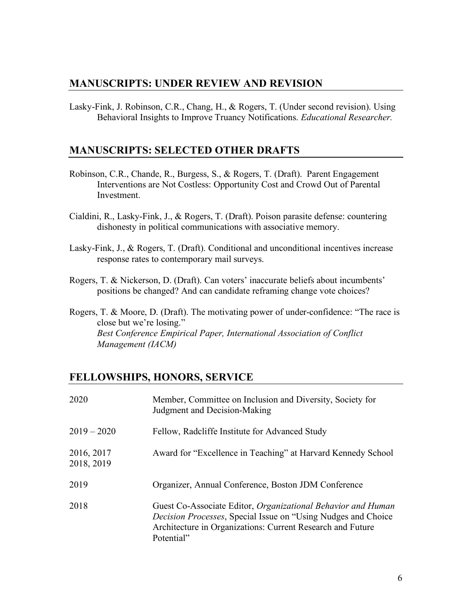### **MANUSCRIPTS: UNDER REVIEW AND REVISION**

Lasky-Fink, J. Robinson, C.R., Chang, H., & Rogers, T. (Under second revision). Using Behavioral Insights to Improve Truancy Notifications. *Educational Researcher.*

#### **MANUSCRIPTS: SELECTED OTHER DRAFTS**

- Robinson, C.R., Chande, R., Burgess, S., & Rogers, T. (Draft). Parent Engagement Interventions are Not Costless: Opportunity Cost and Crowd Out of Parental Investment.
- Cialdini, R., Lasky-Fink, J., & Rogers, T. (Draft). Poison parasite defense: countering dishonesty in political communications with associative memory.
- Lasky-Fink, J., & Rogers, T. (Draft). Conditional and unconditional incentives increase response rates to contemporary mail surveys.
- Rogers, T. & Nickerson, D. (Draft). Can voters' inaccurate beliefs about incumbents' positions be changed? And can candidate reframing change vote choices?
- Rogers, T. & Moore, D. (Draft). The motivating power of under-confidence: "The race is close but we're losing." *Best Conference Empirical Paper, International Association of Conflict Management (IACM)*

### **FELLOWSHIPS, HONORS, SERVICE**

| 2020                     | Member, Committee on Inclusion and Diversity, Society for<br>Judgment and Decision-Making                                                                                                                 |
|--------------------------|-----------------------------------------------------------------------------------------------------------------------------------------------------------------------------------------------------------|
| $2019 - 2020$            | Fellow, Radcliffe Institute for Advanced Study                                                                                                                                                            |
| 2016, 2017<br>2018, 2019 | Award for "Excellence in Teaching" at Harvard Kennedy School                                                                                                                                              |
| 2019                     | Organizer, Annual Conference, Boston JDM Conference                                                                                                                                                       |
| 2018                     | Guest Co-Associate Editor, Organizational Behavior and Human<br>Decision Processes, Special Issue on "Using Nudges and Choice<br>Architecture in Organizations: Current Research and Future<br>Potential" |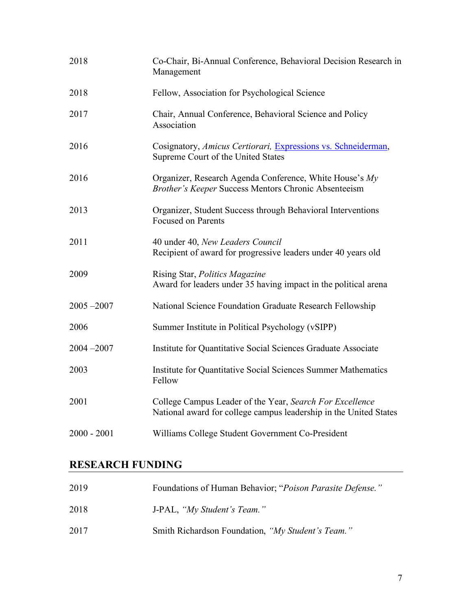| 2018          | Co-Chair, Bi-Annual Conference, Behavioral Decision Research in<br>Management                                                 |
|---------------|-------------------------------------------------------------------------------------------------------------------------------|
| 2018          | Fellow, Association for Psychological Science                                                                                 |
| 2017          | Chair, Annual Conference, Behavioral Science and Policy<br>Association                                                        |
| 2016          | Cosignatory, Amicus Certiorari, Expressions vs. Schneiderman,<br>Supreme Court of the United States                           |
| 2016          | Organizer, Research Agenda Conference, White House's My<br>Brother's Keeper Success Mentors Chronic Absenteeism               |
| 2013          | Organizer, Student Success through Behavioral Interventions<br><b>Focused on Parents</b>                                      |
| 2011          | 40 under 40, New Leaders Council<br>Recipient of award for progressive leaders under 40 years old                             |
| 2009          | Rising Star, Politics Magazine<br>Award for leaders under 35 having impact in the political arena                             |
| $2005 - 2007$ | National Science Foundation Graduate Research Fellowship                                                                      |
| 2006          | Summer Institute in Political Psychology (vSIPP)                                                                              |
| $2004 - 2007$ | Institute for Quantitative Social Sciences Graduate Associate                                                                 |
| 2003          | Institute for Quantitative Social Sciences Summer Mathematics<br>Fellow                                                       |
| 2001          | College Campus Leader of the Year, Search For Excellence<br>National award for college campus leadership in the United States |
| $2000 - 2001$ | Williams College Student Government Co-President                                                                              |

# **RESEARCH FUNDING**

| 2019 | Foundations of Human Behavior; "Poison Parasite Defense." |
|------|-----------------------------------------------------------|
| 2018 | J-PAL, "My Student's Team."                               |
| 2017 | Smith Richardson Foundation, "My Student's Team."         |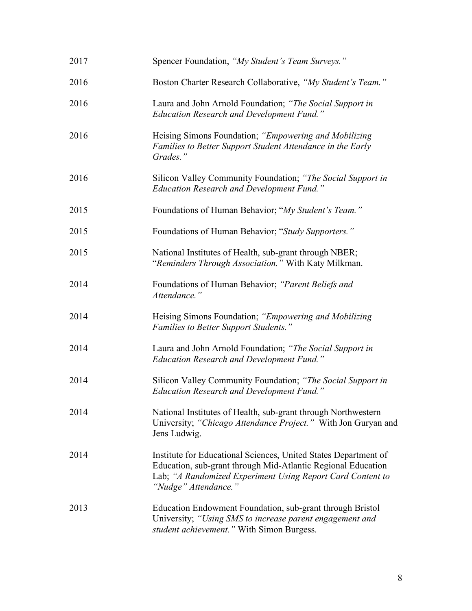| 2017 | Spencer Foundation, "My Student's Team Surveys."                                                                                                                                                                      |
|------|-----------------------------------------------------------------------------------------------------------------------------------------------------------------------------------------------------------------------|
| 2016 | Boston Charter Research Collaborative, "My Student's Team."                                                                                                                                                           |
| 2016 | Laura and John Arnold Foundation; "The Social Support in<br><b>Education Research and Development Fund.</b> "                                                                                                         |
| 2016 | Heising Simons Foundation; "Empowering and Mobilizing<br>Families to Better Support Student Attendance in the Early<br>Grades."                                                                                       |
| 2016 | Silicon Valley Community Foundation; "The Social Support in<br><b>Education Research and Development Fund.</b> "                                                                                                      |
| 2015 | Foundations of Human Behavior; "My Student's Team."                                                                                                                                                                   |
| 2015 | Foundations of Human Behavior; "Study Supporters."                                                                                                                                                                    |
| 2015 | National Institutes of Health, sub-grant through NBER;<br>"Reminders Through Association." With Katy Milkman.                                                                                                         |
| 2014 | Foundations of Human Behavior; "Parent Beliefs and<br>Attendance."                                                                                                                                                    |
| 2014 | Heising Simons Foundation; "Empowering and Mobilizing<br>Families to Better Support Students."                                                                                                                        |
| 2014 | Laura and John Arnold Foundation; "The Social Support in<br><b>Education Research and Development Fund.</b> "                                                                                                         |
| 2014 | Silicon Valley Community Foundation; "The Social Support in<br><b>Education Research and Development Fund.</b> "                                                                                                      |
| 2014 | National Institutes of Health, sub-grant through Northwestern<br>University; "Chicago Attendance Project." With Jon Guryan and<br>Jens Ludwig.                                                                        |
| 2014 | Institute for Educational Sciences, United States Department of<br>Education, sub-grant through Mid-Atlantic Regional Education<br>Lab; "A Randomized Experiment Using Report Card Content to<br>"Nudge" Attendance." |
| 2013 | Education Endowment Foundation, sub-grant through Bristol<br>University; "Using SMS to increase parent engagement and<br>student achievement." With Simon Burgess.                                                    |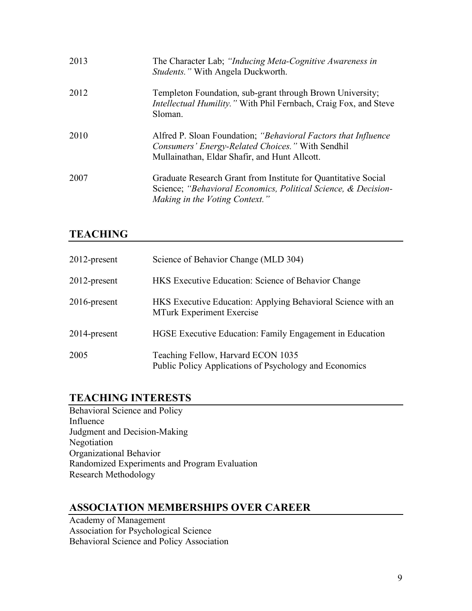| 2013 | The Character Lab; "Inducing Meta-Cognitive Awareness in<br><i>Students.</i> " With Angela Duckworth.                                                                |
|------|----------------------------------------------------------------------------------------------------------------------------------------------------------------------|
| 2012 | Templeton Foundation, sub-grant through Brown University;<br>Intellectual Humility." With Phil Fernbach, Craig Fox, and Steve<br>Sloman.                             |
| 2010 | Alfred P. Sloan Foundation; "Behavioral Factors that Influence"<br>Consumers' Energy-Related Choices." With Sendhil<br>Mullainathan, Eldar Shafir, and Hunt Allcott. |
| 2007 | Graduate Research Grant from Institute for Quantitative Social<br>Science; "Behavioral Economics, Political Science, & Decision-<br>Making in the Voting Context."   |

## **TEACHING**

| $2012$ -present | Science of Behavior Change (MLD 304)                                                             |
|-----------------|--------------------------------------------------------------------------------------------------|
| $2012$ -present | HKS Executive Education: Science of Behavior Change                                              |
| $2016$ -present | HKS Executive Education: Applying Behavioral Science with an<br><b>MTurk Experiment Exercise</b> |
| $2014$ -present | HGSE Executive Education: Family Engagement in Education                                         |
| 2005            | Teaching Fellow, Harvard ECON 1035<br>Public Policy Applications of Psychology and Economics     |

## **TEACHING INTERESTS**

Behavioral Science and Policy Influence Judgment and Decision-Making Negotiation Organizational Behavior Randomized Experiments and Program Evaluation Research Methodology

### **ASSOCIATION MEMBERSHIPS OVER CAREER**

Academy of Management Association for Psychological Science Behavioral Science and Policy Association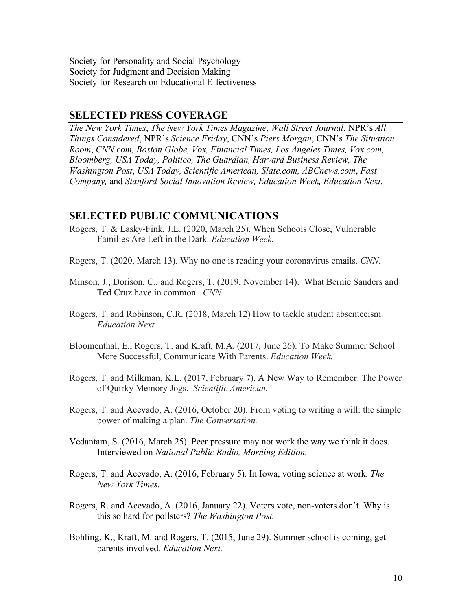Society for Personality and Social Psychology Society for Judgment and Decision Making Society for Research on Educational Effectiveness

#### **SELECTED PRESS COVERAGE**

*The New York Times*, *The New York Times Magazine*, *Wall Street Journal*, NPR's *All Things Considered*, NPR's *Science Friday*, CNN's *Piers Morgan*, CNN's *The Situation Room*, *CNN.com, Boston Globe, Vox, Financial Times, Los Angeles Times, Vox.com, Bloomberg, USA Today, Politico, The Guardian, Harvard Business Review, The Washington Post*, *USA Today, Scientific American, Slate.com, ABCnews.com*, *Fast Company,* and *Stanford Social Innovation Review, Education Week, Education Next.*

#### **SELECTED PUBLIC COMMUNICATIONS**

- Rogers, T. & Lasky-Fink, J.L. (2020, March 25). When Schools Close, Vulnerable Families Are Left in the Dark. *Education Week.*
- Rogers, T. (2020, March 13). Why no one is reading your coronavirus emails. *CNN.*
- Minson, J., Dorison, C., and Rogers, T. (2019, November 14). What Bernie Sanders and Ted Cruz have in common. *CNN.*
- Rogers, T. and Robinson, C.R. (2018, March 12) How to tackle student absenteeism. *Education Next.*
- Bloomenthal, E., Rogers, T. and Kraft, M.A. (2017, June 26). To Make Summer School More Successful, Communicate With Parents. *Education Week.*
- Rogers, T. and Milkman, K.L. (2017, February 7). A New Way to Remember: The Power of Quirky Memory Jogs. *Scientific American.*
- Rogers, T. and Acevado, A. (2016, October 20). From voting to writing a will: the simple power of making a plan. *The Conversation.*
- Vedantam, S. (2016, March 25). Peer pressure may not work the way we think it does. Interviewed on *National Public Radio, Morning Edition.*
- Rogers, T. and Acevado, A. (2016, February 5). In Iowa, voting science at work. *The New York Times.*
- Rogers, R. and Acevado, A. (2016, January 22). Voters vote, non-voters don't. Why is this so hard for pollsters? *The Washington Post.*
- Bohling, K., Kraft, M. and Rogers, T. (2015, June 29). Summer school is coming, get parents involved. *Education Next.*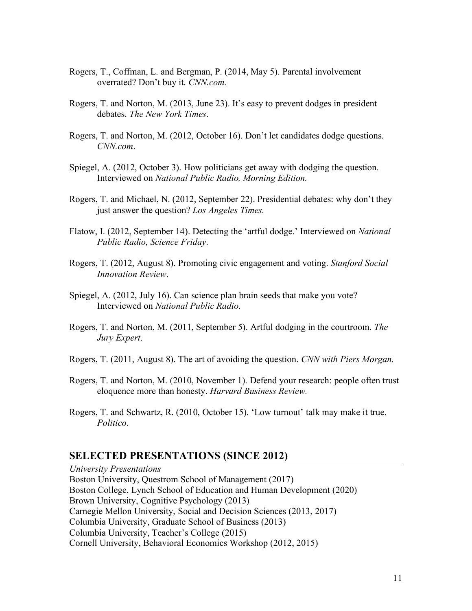- Rogers, T., Coffman, L. and Bergman, P. (2014, May 5). Parental involvement overrated? Don't buy it. *CNN.com.*
- Rogers, T. and Norton, M. (2013, June 23). It's easy to prevent dodges in president debates. *The New York Times*.
- Rogers, T. and Norton, M. (2012, October 16). Don't let candidates dodge questions. *CNN.com*.
- Spiegel, A. (2012, October 3). How politicians get away with dodging the question. Interviewed on *National Public Radio, Morning Edition.*
- Rogers, T. and Michael, N. (2012, September 22). Presidential debates: why don't they just answer the question? *Los Angeles Times.*
- Flatow, I. (2012, September 14). Detecting the 'artful dodge.' Interviewed on *National Public Radio, Science Friday*.
- Rogers, T. (2012, August 8). Promoting civic engagement and voting. *Stanford Social Innovation Review*.
- Spiegel, A. (2012, July 16). Can science plan brain seeds that make you vote? Interviewed on *National Public Radio*.
- Rogers, T. and Norton, M. (2011, September 5). Artful dodging in the courtroom. *The Jury Expert*.
- Rogers, T. (2011, August 8). The art of avoiding the question. *CNN with Piers Morgan.*
- Rogers, T. and Norton, M. (2010, November 1). Defend your research: people often trust eloquence more than honesty. *Harvard Business Review.*
- Rogers, T. and Schwartz, R. (2010, October 15). 'Low turnout' talk may make it true. *Politico*.

#### **SELECTED PRESENTATIONS (SINCE 2012)**

*University Presentations* Boston University, Questrom School of Management (2017) Boston College, Lynch School of Education and Human Development (2020) Brown University, Cognitive Psychology (2013) Carnegie Mellon University, Social and Decision Sciences (2013, 2017) Columbia University, Graduate School of Business (2013) Columbia University, Teacher's College (2015) Cornell University, Behavioral Economics Workshop (2012, 2015)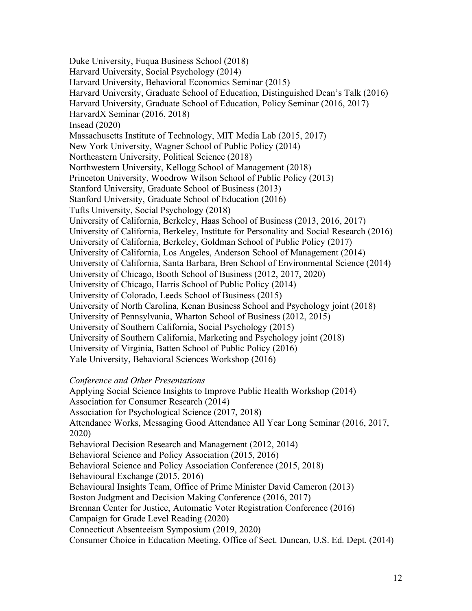Duke University, Fuqua Business School (2018) Harvard University, Social Psychology (2014) Harvard University, Behavioral Economics Seminar (2015) Harvard University, Graduate School of Education, Distinguished Dean's Talk (2016) Harvard University, Graduate School of Education, Policy Seminar (2016, 2017) HarvardX Seminar (2016, 2018) Insead (2020) Massachusetts Institute of Technology, MIT Media Lab (2015, 2017) New York University, Wagner School of Public Policy (2014) Northeastern University, Political Science (2018) Northwestern University, Kellogg School of Management (2018) Princeton University, Woodrow Wilson School of Public Policy (2013) Stanford University, Graduate School of Business (2013) Stanford University, Graduate School of Education (2016) Tufts University, Social Psychology (2018) University of California, Berkeley, Haas School of Business (2013, 2016, 2017) University of California, Berkeley, Institute for Personality and Social Research (2016) University of California, Berkeley, Goldman School of Public Policy (2017) University of California, Los Angeles, Anderson School of Management (2014) University of California, Santa Barbara, Bren School of Environmental Science (2014) University of Chicago, Booth School of Business (2012, 2017, 2020) University of Chicago, Harris School of Public Policy (2014) University of Colorado, Leeds School of Business (2015) University of North Carolina, Kenan Business School and Psychology joint (2018) University of Pennsylvania, Wharton School of Business (2012, 2015) University of Southern California, Social Psychology (2015) University of Southern California, Marketing and Psychology joint (2018) University of Virginia, Batten School of Public Policy (2016) Yale University, Behavioral Sciences Workshop (2016)

#### *Conference and Other Presentations*

Applying Social Science Insights to Improve Public Health Workshop (2014) Association for Consumer Research (2014) Association for Psychological Science (2017, 2018) Attendance Works, Messaging Good Attendance All Year Long Seminar (2016, 2017, 2020) Behavioral Decision Research and Management (2012, 2014) Behavioral Science and Policy Association (2015, 2016) Behavioral Science and Policy Association Conference (2015, 2018) Behavioural Exchange (2015, 2016) Behavioural Insights Team, Office of Prime Minister David Cameron (2013) Boston Judgment and Decision Making Conference (2016, 2017) Brennan Center for Justice, Automatic Voter Registration Conference (2016) Campaign for Grade Level Reading (2020) Connecticut Absenteeism Symposium (2019, 2020) Consumer Choice in Education Meeting, Office of Sect. Duncan, U.S. Ed. Dept. (2014)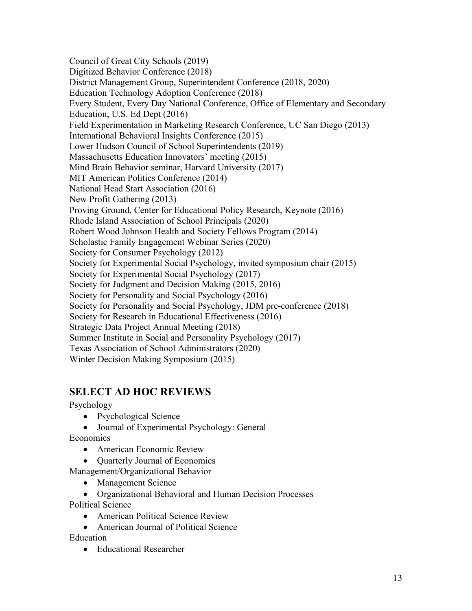Council of Great City Schools (2019) Digitized Behavior Conference (2018) District Management Group, Superintendent Conference (2018, 2020) Education Technology Adoption Conference (2018) Every Student, Every Day National Conference, Office of Elementary and Secondary Education, U.S. Ed Dept (2016) Field Experimentation in Marketing Research Conference, UC San Diego (2013) International Behavioral Insights Conference (2015) Lower Hudson Council of School Superintendents (2019) Massachusetts Education Innovators' meeting (2015) Mind Brain Behavior seminar, Harvard University (2017) MIT American Politics Conference (2014) National Head Start Association (2016) New Profit Gathering (2013) Proving Ground, Center for Educational Policy Research, Keynote (2016) Rhode Island Association of School Principals (2020) Robert Wood Johnson Health and Society Fellows Program (2014) Scholastic Family Engagement Webinar Series (2020) Society for Consumer Psychology (2012) Society for Experimental Social Psychology, invited symposium chair (2015) Society for Experimental Social Psychology (2017) Society for Judgment and Decision Making (2015, 2016) Society for Personality and Social Psychology (2016) Society for Personality and Social Psychology, JDM pre-conference (2018) Society for Research in Educational Effectiveness (2016) Strategic Data Project Annual Meeting (2018) Summer Institute in Social and Personality Psychology (2017) Texas Association of School Administrators (2020) Winter Decision Making Symposium (2015)

## **SELECT AD HOC REVIEWS**

Psychology

- Psychological Science
- Journal of Experimental Psychology: General

Economics

- American Economic Review
- Quarterly Journal of Economics

Management/Organizational Behavior

• Management Science

• Organizational Behavioral and Human Decision Processes

Political Science

- American Political Science Review
- American Journal of Political Science

Education

• Educational Researcher